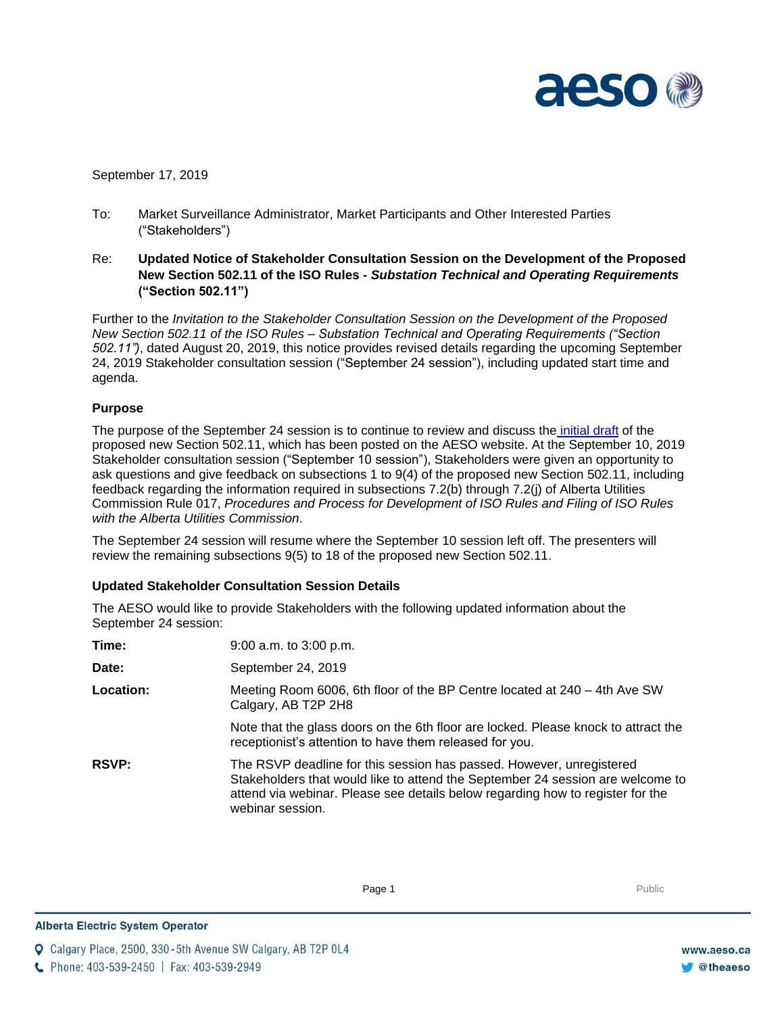

September 17, 2019

- To: Market Surveillance Administrator, Market Participants and Other Interested Parties ("Stakeholders")
- Re: **Updated Notice of Stakeholder Consultation Session on the Development of the Proposed New Section 502.11 of the ISO Rules -** *Substation Technical and Operating Requirements* **("Section 502.11")**

Further to the *Invitation to the Stakeholder Consultation Session on the Development of the Proposed New Section 502.11 of the ISO Rules – Substation Technical and Operating Requirements ("Section 502.11")*, dated August 20, 2019, this notice provides revised details regarding the upcoming September 24, 2019 Stakeholder consultation session ("September 24 session"), including updated start time and agenda.

# **Purpose**

The purpose of the September 24 session is to continue to review and discuss the [initial draft](https://www.aeso.ca/assets/Uploads/502.11-Substation-Technical-and-Operating-Requirements.pdf) of the proposed new Section 502.11, which has been posted on the AESO website. At the September 10, 2019 Stakeholder consultation session ("September 10 session"), Stakeholders were given an opportunity to ask questions and give feedback on subsections 1 to 9(4) of the proposed new Section 502.11, including feedback regarding the information required in subsections 7.2(b) through 7.2(j) of Alberta Utilities Commission Rule 017, *Procedures and Process for Development of ISO Rules and Filing of ISO Rules with the Alberta Utilities Commission*.

The September 24 session will resume where the September 10 session left off. The presenters will review the remaining subsections 9(5) to 18 of the proposed new Section 502.11.

# **Updated Stakeholder Consultation Session Details**

The AESO would like to provide Stakeholders with the following updated information about the September 24 session:

| Time:        | $9:00$ a.m. to $3:00$ p.m.                                                                                                                                                                                                                                   |
|--------------|--------------------------------------------------------------------------------------------------------------------------------------------------------------------------------------------------------------------------------------------------------------|
| Date:        | September 24, 2019                                                                                                                                                                                                                                           |
| Location:    | Meeting Room 6006, 6th floor of the BP Centre located at 240 – 4th Ave SW<br>Calgary, AB T2P 2H8                                                                                                                                                             |
|              | Note that the glass doors on the 6th floor are locked. Please knock to attract the<br>receptionist's attention to have them released for you.                                                                                                                |
| <b>RSVP:</b> | The RSVP deadline for this session has passed. However, unregistered<br>Stakeholders that would like to attend the September 24 session are welcome to<br>attend via webinar. Please see details below regarding how to register for the<br>webinar session. |

**Enter Football Page 1** Public Public Public Public Public Public Public Public Public Public Public Public Public Public Public Public Public Public Public Public Public Public Public Public Public Public Public Public Pu

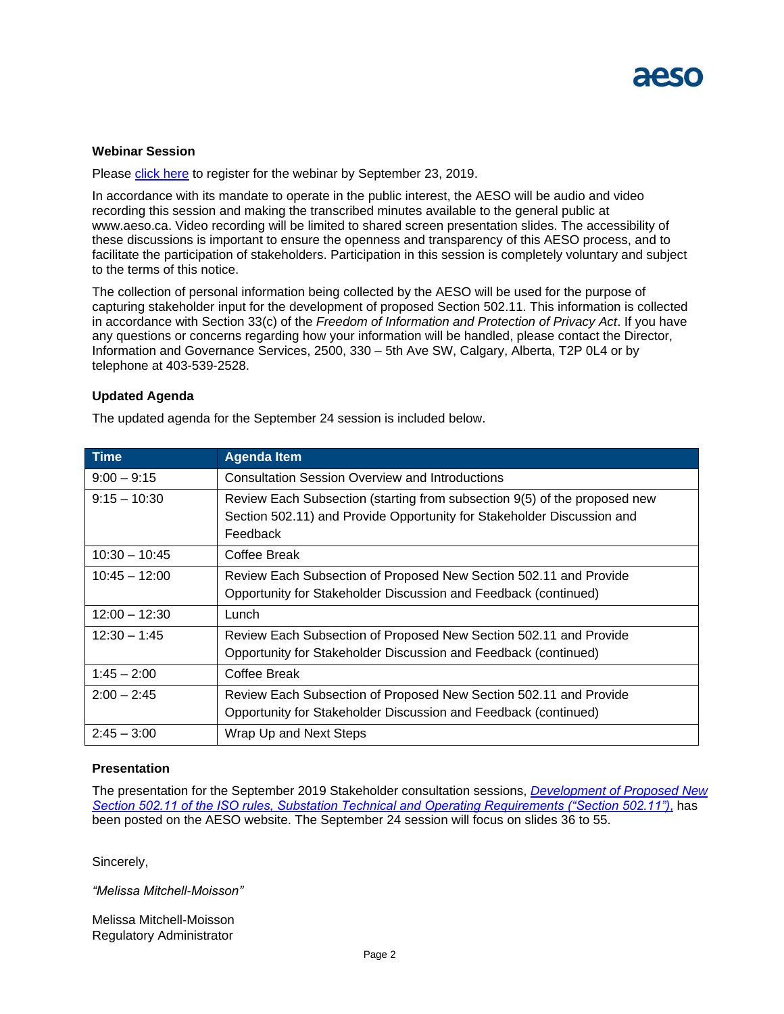# **Webinar Session**

Please [click here](https://attendee.gotowebinar.com/register/3450187624103167500) to register for the webinar by September 23, 2019.

In accordance with its mandate to operate in the public interest, the AESO will be audio and video recording this session and making the transcribed minutes available to the general public at [www.aeso.ca.](http://www.aeso.ca/) Video recording will be limited to shared screen presentation slides. The accessibility of these discussions is important to ensure the openness and transparency of this AESO process, and to facilitate the participation of stakeholders. Participation in this session is completely voluntary and subject to the terms of this notice.

The collection of personal information being collected by the AESO will be used for the purpose of capturing stakeholder input for the development of proposed Section 502.11. This information is collected in accordance with Section 33(c) of the *Freedom of Information and Protection of Privacy Act*. If you have any questions or concerns regarding how your information will be handled, please contact the Director, Information and Governance Services, 2500, 330 – 5th Ave SW, Calgary, Alberta, T2P 0L4 or by telephone at 403-539-2528.

# **Updated Agenda**

The updated agenda for the September 24 session is included below.

| $I$ Time        | <b>Agenda Item</b>                                                                                                                                              |
|-----------------|-----------------------------------------------------------------------------------------------------------------------------------------------------------------|
| $9:00 - 9:15$   | <b>Consultation Session Overview and Introductions</b>                                                                                                          |
| $9:15 - 10:30$  | Review Each Subsection (starting from subsection 9(5) of the proposed new<br>Section 502.11) and Provide Opportunity for Stakeholder Discussion and<br>Feedback |
| $10:30 - 10:45$ | Coffee Break                                                                                                                                                    |
| $10:45 - 12:00$ | Review Each Subsection of Proposed New Section 502.11 and Provide<br>Opportunity for Stakeholder Discussion and Feedback (continued)                            |
| $12:00 - 12:30$ | Lunch                                                                                                                                                           |
| $12:30 - 1:45$  | Review Each Subsection of Proposed New Section 502.11 and Provide<br>Opportunity for Stakeholder Discussion and Feedback (continued)                            |
| $1:45 - 2:00$   | Coffee Break                                                                                                                                                    |
| $2:00 - 2:45$   | Review Each Subsection of Proposed New Section 502.11 and Provide<br>Opportunity for Stakeholder Discussion and Feedback (continued)                            |
| $2:45 - 3:00$   | Wrap Up and Next Steps                                                                                                                                          |

# **Presentation**

The presentation for the September 2019 Stakeholder consultation sessions, *[Development of Proposed New](https://www.aeso.ca/assets/Uploads/Development-of-Proposed-New-Section-502.11-for-posting.pdf)  [Section 502.11 of the ISO rules, Substation Technical and Operating Requirements \("Section 502.11"\)](https://www.aeso.ca/assets/Uploads/Development-of-Proposed-New-Section-502.11-for-posting.pdf)*, has been posted on the AESO website. The September 24 session will focus on slides 36 to 55.

Sincerely,

*"Melissa Mitchell-Moisson"*

Melissa Mitchell-Moisson Regulatory Administrator